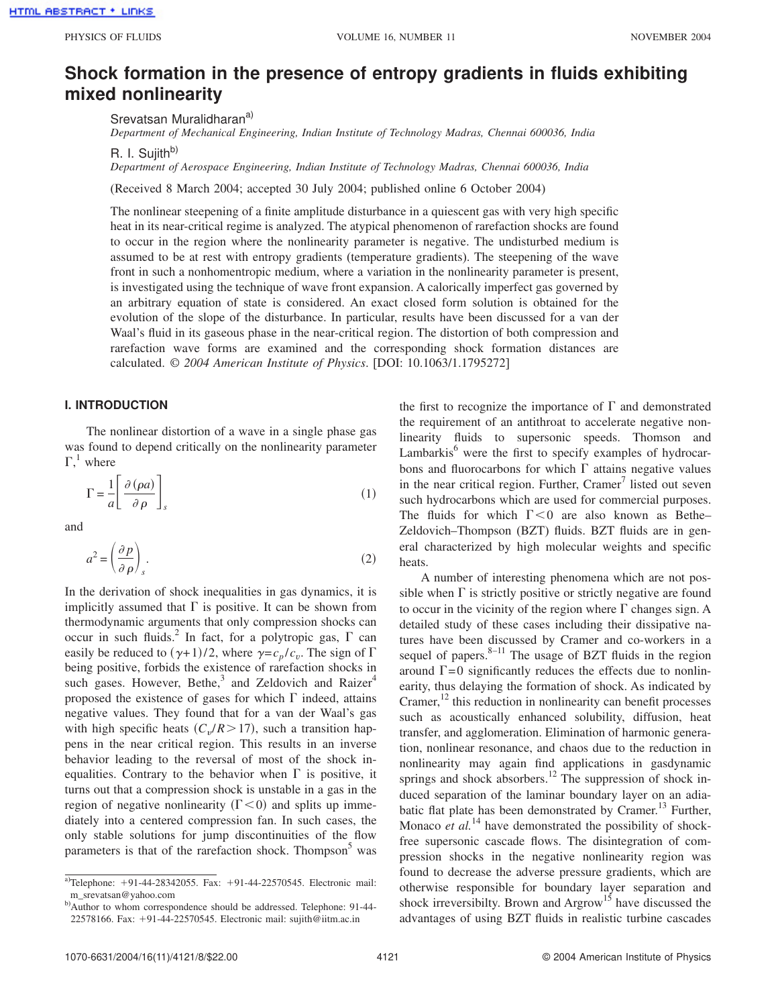# **Shock formation in the presence of entropy gradients in fluids exhibiting mixed nonlinearity**

Srevatsan Muralidharan<sup>a)</sup>

*Department of Mechanical Engineering, Indian Institute of Technology Madras, Chennai 600036, India*

R. I. Suiith<sup>b)</sup>

*Department of Aerospace Engineering, Indian Institute of Technology Madras, Chennai 600036, India*

(Received 8 March 2004; accepted 30 July 2004; published online 6 October 2004)

The nonlinear steepening of a finite amplitude disturbance in a quiescent gas with very high specific heat in its near-critical regime is analyzed. The atypical phenomenon of rarefaction shocks are found to occur in the region where the nonlinearity parameter is negative. The undisturbed medium is assumed to be at rest with entropy gradients (temperature gradients). The steepening of the wave front in such a nonhomentropic medium, where a variation in the nonlinearity parameter is present, is investigated using the technique of wave front expansion. A calorically imperfect gas governed by an arbitrary equation of state is considered. An exact closed form solution is obtained for the evolution of the slope of the disturbance. In particular, results have been discussed for a van der Waal's fluid in its gaseous phase in the near-critical region. The distortion of both compression and rarefaction wave forms are examined and the corresponding shock formation distances are calculated. © *2004 American Institute of Physics*. [DOI: 10.1063/1.1795272]

## **I. INTRODUCTION**

The nonlinear distortion of a wave in a single phase gas was found to depend critically on the nonlinearity parameter  $\Gamma$ , where

$$
\Gamma = \frac{1}{a} \left[ \frac{\partial (\rho a)}{\partial \rho} \right]_s \tag{1}
$$

and

$$
a^2 = \left(\frac{\partial p}{\partial \rho}\right)_s.
$$
 (2)

In the derivation of shock inequalities in gas dynamics, it is implicitly assumed that  $\Gamma$  is positive. It can be shown from thermodynamic arguments that only compression shocks can occur in such fluids.<sup>2</sup> In fact, for a polytropic gas,  $\Gamma$  can easily be reduced to  $(\gamma+1)/2$ , where  $\gamma = c_p/c_v$ . The sign of  $\Gamma$ being positive, forbids the existence of rarefaction shocks in such gases. However, Bethe, $3$  and Zeldovich and Raizer<sup>4</sup> proposed the existence of gases for which  $\Gamma$  indeed, attains negative values. They found that for a van der Waal's gas with high specific heats  $(C_v/R > 17)$ , such a transition happens in the near critical region. This results in an inverse behavior leading to the reversal of most of the shock inequalities. Contrary to the behavior when  $\Gamma$  is positive, it turns out that a compression shock is unstable in a gas in the region of negative nonlinearity  $(\Gamma < 0)$  and splits up immediately into a centered compression fan. In such cases, the only stable solutions for jump discontinuities of the flow parameters is that of the rarefaction shock. Thompson<sup>5</sup> was

b)Author to whom correspondence should be addressed. Telephone: 91-44-22578166. Fax: 191-44-22570545. Electronic mail: sujith@iitm.ac.in

the first to recognize the importance of  $\Gamma$  and demonstrated the requirement of an antithroat to accelerate negative nonlinearity fluids to supersonic speeds. Thomson and Lambarkis $6$  were the first to specify examples of hydrocarbons and fluorocarbons for which  $\Gamma$  attains negative values in the near critical region. Further,  $Cramer<sup>7</sup>$  listed out seven such hydrocarbons which are used for commercial purposes. The fluids for which  $\Gamma < 0$  are also known as Bethe– Zeldovich–Thompson (BZT) fluids. BZT fluids are in general characterized by high molecular weights and specific heats.

A number of interesting phenomena which are not possible when  $\Gamma$  is strictly positive or strictly negative are found to occur in the vicinity of the region where  $\Gamma$  changes sign. A detailed study of these cases including their dissipative natures have been discussed by Cramer and co-workers in a sequel of papers. $8-11$  The usage of BZT fluids in the region around  $\Gamma$ =0 significantly reduces the effects due to nonlinearity, thus delaying the formation of shock. As indicated by Cramer, $^{12}$  this reduction in nonlinearity can benefit processes such as acoustically enhanced solubility, diffusion, heat transfer, and agglomeration. Elimination of harmonic generation, nonlinear resonance, and chaos due to the reduction in nonlinearity may again find applications in gasdynamic springs and shock absorbers.<sup>12</sup> The suppression of shock induced separation of the laminar boundary layer on an adiabatic flat plate has been demonstrated by Cramer.<sup>13</sup> Further, Monaco *et al.*<sup>14</sup> have demonstrated the possibility of shockfree supersonic cascade flows. The disintegration of compression shocks in the negative nonlinearity region was found to decrease the adverse pressure gradients, which are otherwise responsible for boundary layer separation and shock irreversibilty. Brown and  $Argrow<sup>15</sup>$  have discussed the advantages of using BZT fluids in realistic turbine cascades

a)Telephone: +91-44-28342055. Fax: +91-44-22570545. Electronic mail: m\_srevatsan@yahoo.com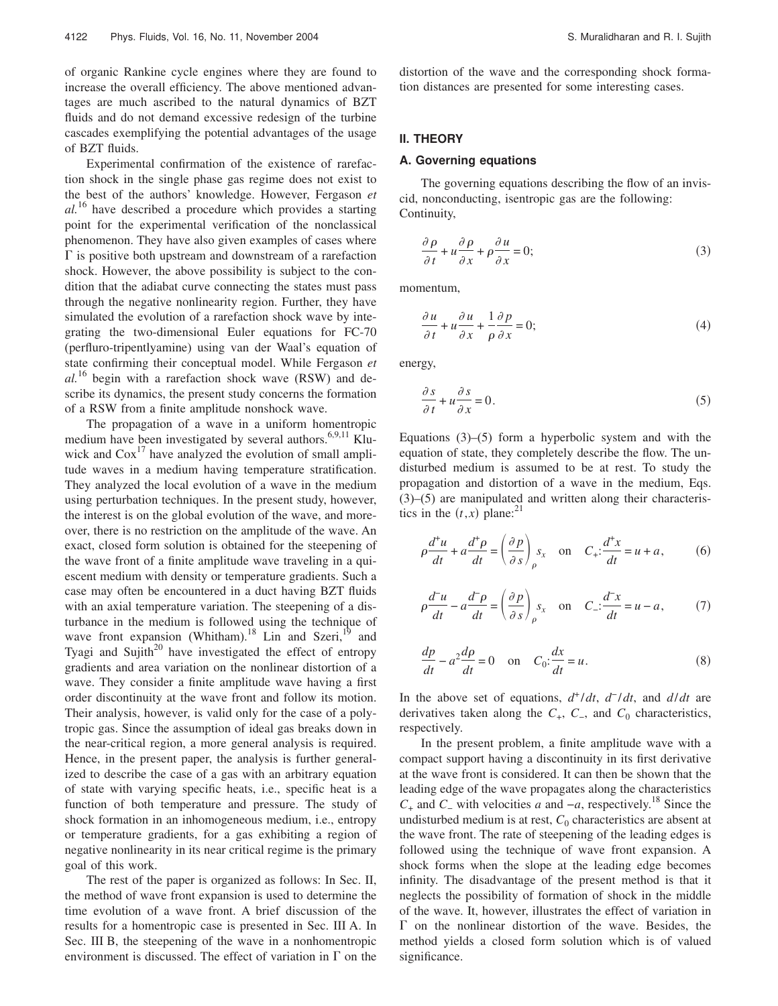of organic Rankine cycle engines where they are found to increase the overall efficiency. The above mentioned advantages are much ascribed to the natural dynamics of BZT fluids and do not demand excessive redesign of the turbine cascades exemplifying the potential advantages of the usage of BZT fluids.

Experimental confirmation of the existence of rarefaction shock in the single phase gas regime does not exist to the best of the authors' knowledge. However, Fergason *et al.*<sup>16</sup> have described a procedure which provides a starting point for the experimental verification of the nonclassical phenomenon. They have also given examples of cases where  $\Gamma$  is positive both upstream and downstream of a rarefaction shock. However, the above possibility is subject to the condition that the adiabat curve connecting the states must pass through the negative nonlinearity region. Further, they have simulated the evolution of a rarefaction shock wave by integrating the two-dimensional Euler equations for FC-70 (perfluro-tripentlyamine) using van der Waal's equation of state confirming their conceptual model. While Fergason *et al.*<sup>16</sup> begin with a rarefaction shock wave (RSW) and describe its dynamics, the present study concerns the formation of a RSW from a finite amplitude nonshock wave.

The propagation of a wave in a uniform homentropic medium have been investigated by several authors.<sup>6,9,11</sup> Kluwick and  $\text{Cox}^{\frac{1}{7}}$  have analyzed the evolution of small amplitude waves in a medium having temperature stratification. They analyzed the local evolution of a wave in the medium using perturbation techniques. In the present study, however, the interest is on the global evolution of the wave, and moreover, there is no restriction on the amplitude of the wave. An exact, closed form solution is obtained for the steepening of the wave front of a finite amplitude wave traveling in a quiescent medium with density or temperature gradients. Such a case may often be encountered in a duct having BZT fluids with an axial temperature variation. The steepening of a disturbance in the medium is followed using the technique of wave front expansion (Whitham).<sup>18</sup> Lin and Szeri,<sup>19</sup> and Tyagi and Sujith<sup>20</sup> have investigated the effect of entropy gradients and area variation on the nonlinear distortion of a wave. They consider a finite amplitude wave having a first order discontinuity at the wave front and follow its motion. Their analysis, however, is valid only for the case of a polytropic gas. Since the assumption of ideal gas breaks down in the near-critical region, a more general analysis is required. Hence, in the present paper, the analysis is further generalized to describe the case of a gas with an arbitrary equation of state with varying specific heats, i.e., specific heat is a function of both temperature and pressure. The study of shock formation in an inhomogeneous medium, i.e., entropy or temperature gradients, for a gas exhibiting a region of negative nonlinearity in its near critical regime is the primary goal of this work.

The rest of the paper is organized as follows: In Sec. II, the method of wave front expansion is used to determine the time evolution of a wave front. A brief discussion of the results for a homentropic case is presented in Sec. III A. In Sec. III B, the steepening of the wave in a nonhomentropic environment is discussed. The effect of variation in  $\Gamma$  on the distortion of the wave and the corresponding shock formation distances are presented for some interesting cases.

# **II. THEORY**

# **A. Governing equations**

The governing equations describing the flow of an inviscid, nonconducting, isentropic gas are the following: Continuity,

$$
\frac{\partial \rho}{\partial t} + u \frac{\partial \rho}{\partial x} + \rho \frac{\partial u}{\partial x} = 0; \tag{3}
$$

momentum,

$$
\frac{\partial u}{\partial t} + u \frac{\partial u}{\partial x} + \frac{1}{\rho} \frac{\partial p}{\partial x} = 0;
$$
\n(4)

energy,

$$
\frac{\partial s}{\partial t} + u \frac{\partial s}{\partial x} = 0.
$$
 (5)

Equations  $(3)$ – $(5)$  form a hyperbolic system and with the equation of state, they completely describe the flow. The undisturbed medium is assumed to be at rest. To study the propagation and distortion of a wave in the medium, Eqs. (3)–(5) are manipulated and written along their characteristics in the  $(t, x)$  plane:<sup>21</sup>

$$
\rho \frac{d^+ u}{dt} + a \frac{d^+ \rho}{dt} = \left(\frac{\partial p}{\partial s}\right)_{\rho} s_x \quad \text{on} \quad C_+ : \frac{d^+ x}{dt} = u + a,\tag{6}
$$

$$
\rho \frac{d^2 u}{dt} - a \frac{d^2 \rho}{dt} = \left(\frac{\partial p}{\partial s}\right)_{\rho} s_x \quad \text{on} \quad C_- : \frac{d^2 x}{dt} = u - a,\tag{7}
$$

$$
\frac{dp}{dt} - a^2 \frac{d\rho}{dt} = 0 \quad \text{on} \quad C_0: \frac{dx}{dt} = u.
$$
 (8)

In the above set of equations,  $d^+ / dt$ ,  $d^- / dt$ , and  $d/dt$  are derivatives taken along the  $C_+$ ,  $C_-$ , and  $C_0$  characteristics, respectively.

In the present problem, a finite amplitude wave with a compact support having a discontinuity in its first derivative at the wave front is considered. It can then be shown that the leading edge of the wave propagates along the characteristics *C*<sub>+</sub> and *C*<sub>−</sub> with velocities *a* and −*a*, respectively.<sup>18</sup> Since the undisturbed medium is at rest,  $C_0$  characteristics are absent at the wave front. The rate of steepening of the leading edges is followed using the technique of wave front expansion. A shock forms when the slope at the leading edge becomes infinity. The disadvantage of the present method is that it neglects the possibility of formation of shock in the middle of the wave. It, however, illustrates the effect of variation in  $\Gamma$  on the nonlinear distortion of the wave. Besides, the method yields a closed form solution which is of valued significance.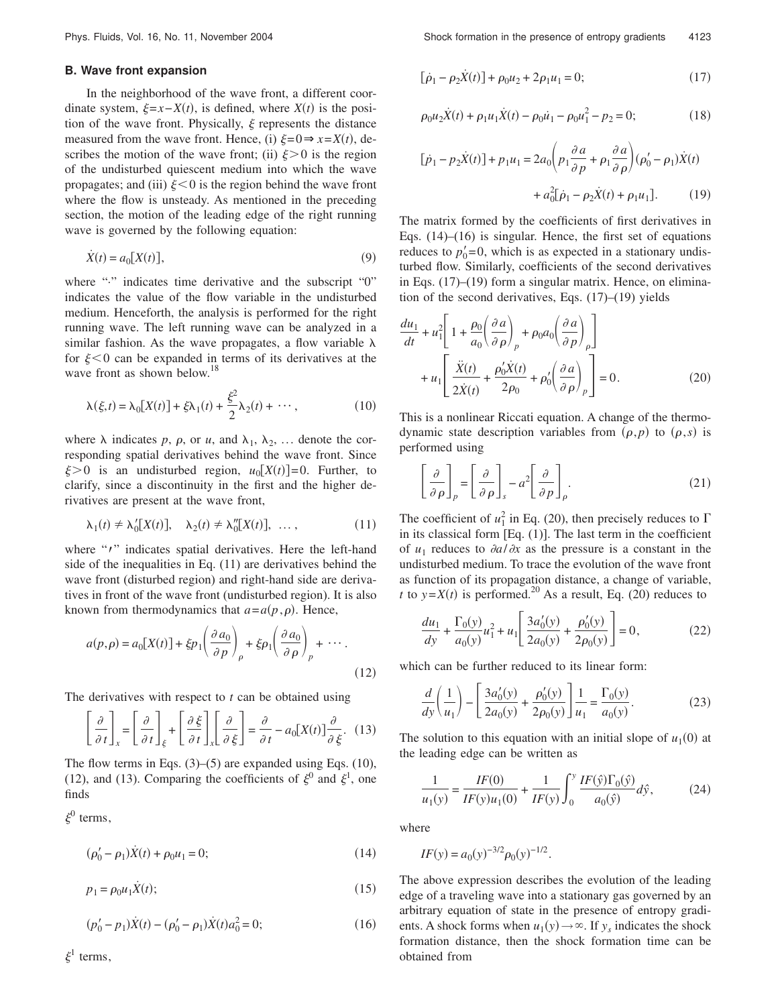# **B. Wave front expansion**

In the neighborhood of the wave front, a different coordinate system,  $\xi = x - X(t)$ , is defined, where  $X(t)$  is the position of the wave front. Physically,  $\xi$  represents the distance measured from the wave front. Hence, (i)  $\xi=0 \Rightarrow x=X(t)$ , describes the motion of the wave front; (ii)  $\xi > 0$  is the region of the undisturbed quiescent medium into which the wave propagates; and (iii)  $\xi$ <0 is the region behind the wave front where the flow is unsteady. As mentioned in the preceding section, the motion of the leading edge of the right running wave is governed by the following equation:

$$
\dot{X}(t) = a_0[X(t)],\tag{9}
$$

where ":" indicates time derivative and the subscript "0" indicates the value of the flow variable in the undisturbed medium. Henceforth, the analysis is performed for the right running wave. The left running wave can be analyzed in a similar fashion. As the wave propagates, a flow variable  $\lambda$ for  $\xi$ <0 can be expanded in terms of its derivatives at the wave front as shown below.<sup>18</sup>

$$
\lambda(\xi, t) = \lambda_0[X(t)] + \xi \lambda_1(t) + \frac{\xi^2}{2} \lambda_2(t) + \cdots,
$$
 (10)

where  $\lambda$  indicates p,  $\rho$ , or u, and  $\lambda_1, \lambda_2, \ldots$  denote the corresponding spatial derivatives behind the wave front. Since  $\xi > 0$  is an undisturbed region,  $u_0[X(t)] = 0$ . Further, to clarify, since a discontinuity in the first and the higher derivatives are present at the wave front,

$$
\lambda_1(t) \neq \lambda'_0[X(t)], \quad \lambda_2(t) \neq \lambda''_0[X(t)], \quad \dots \,, \tag{11}
$$

where "'" indicates spatial derivatives. Here the left-hand side of the inequalities in Eq. (11) are derivatives behind the wave front (disturbed region) and right-hand side are derivatives in front of the wave front (undisturbed region). It is also known from thermodynamics that  $a=a(p, \rho)$ . Hence,

$$
a(p,\rho) = a_0[X(t)] + \xi p_1 \left(\frac{\partial a_0}{\partial p}\right)_\rho + \xi p_1 \left(\frac{\partial a_0}{\partial \rho}\right)_p + \cdots
$$
\n(12)

The derivatives with respect to *t* can be obtained using

$$
\left[\frac{\partial}{\partial t}\right]_x = \left[\frac{\partial}{\partial t}\right]_{\xi} + \left[\frac{\partial \xi}{\partial t}\right]_{x} \left[\frac{\partial}{\partial \xi}\right] = \frac{\partial}{\partial t} - a_0[X(t)]\frac{\partial}{\partial \xi}.
$$
 (13)

The flow terms in Eqs.  $(3)$ – $(5)$  are expanded using Eqs.  $(10)$ , (12), and (13). Comparing the coefficients of  $\xi^0$  and  $\xi^1$ , one finds

 $\xi^0$  terms,

$$
(\rho'_0 - \rho_1)\dot{X}(t) + \rho_0 u_1 = 0; \tag{14}
$$

 $p_1 = \rho_0 u_1 \dot{X}$  $f(t);$  (15)

$$
(p'_0 - p_1)\dot{X}(t) - (\rho'_0 - \rho_1)\dot{X}(t)a_0^2 = 0; \qquad (16)
$$

$$
[\dot{\rho}_1 - \rho_2 \dot{X}(t)] + \rho_0 u_2 + 2\rho_1 u_1 = 0; \qquad (17)
$$

$$
\rho_0 u_2 \dot{X}(t) + \rho_1 u_1 \dot{X}(t) - \rho_0 u_1 - \rho_0 u_1^2 - p_2 = 0; \tag{18}
$$

$$
[\dot{p}_1 - p_2 \dot{X}(t)] + p_1 u_1 = 2a_0 \left( p_1 \frac{\partial a}{\partial p} + \rho_1 \frac{\partial a}{\partial \rho} \right) (\rho'_0 - \rho_1) \dot{X}(t) + a_0^2 [\dot{\rho}_1 - \rho_2 \dot{X}(t) + \rho_1 u_1].
$$
 (19)

The matrix formed by the coefficients of first derivatives in Eqs. (14)–(16) is singular. Hence, the first set of equations reduces to  $p'_0 = 0$ , which is as expected in a stationary undisturbed flow. Similarly, coefficients of the second derivatives in Eqs. (17)–(19) form a singular matrix. Hence, on elimination of the second derivatives, Eqs. (17)–(19) yields

$$
\frac{du_1}{dt} + u_1^2 \left[ 1 + \frac{\rho_0}{a_0} \left( \frac{\partial a}{\partial \rho} \right)_p + \rho_0 a_0 \left( \frac{\partial a}{\partial \rho} \right)_\rho \right] \n+ u_1 \left[ \frac{\ddot{X}(t)}{2\dot{X}(t)} + \frac{\rho_0' \dot{X}(t)}{2\rho_0} + \rho_0' \left( \frac{\partial a}{\partial \rho} \right)_p \right] = 0.
$$
\n(20)

This is a nonlinear Riccati equation. A change of the thermodynamic state description variables from  $(\rho, p)$  to  $(\rho, s)$  is performed using

$$
\left[\frac{\partial}{\partial \rho}\right]_p = \left[\frac{\partial}{\partial \rho}\right]_s - a^2 \left[\frac{\partial}{\partial p}\right]_p.
$$
\n(21)

The coefficient of  $u_1^2$  in Eq. (20), then precisely reduces to  $\Gamma$ in its classical form [Eq. (1)]. The last term in the coefficient of  $u_1$  reduces to  $\partial a/\partial x$  as the pressure is a constant in the undisturbed medium. To trace the evolution of the wave front as function of its propagation distance, a change of variable, *t* to  $y=X(t)$  is performed.<sup>20</sup> As a result, Eq. (20) reduces to

$$
\frac{du_1}{dy} + \frac{\Gamma_0(y)}{a_0(y)}u_1^2 + u_1\left[\frac{3a_0'(y)}{2a_0(y)} + \frac{\rho_0'(y)}{2\rho_0(y)}\right] = 0,
$$
\n(22)

which can be further reduced to its linear form:

$$
\frac{d}{dy}\left(\frac{1}{u_1}\right) - \left[\frac{3a_0'(y)}{2a_0(y)} + \frac{\rho_0'(y)}{2\rho_0(y)}\right] \frac{1}{u_1} = \frac{\Gamma_0(y)}{a_0(y)}.
$$
\n(23)

The solution to this equation with an initial slope of  $u_1(0)$  at the leading edge can be written as

$$
\frac{1}{u_1(y)} = \frac{IF(0)}{IF(y)u_1(0)} + \frac{1}{IF(y)} \int_0^y \frac{IF(\hat{y})\Gamma_0(\hat{y})}{a_0(\hat{y})} d\hat{y},
$$
(24)

where

$$
IF(y) = a_0(y)^{-3/2} \rho_0(y)^{-1/2}.
$$

The above expression describes the evolution of the leading edge of a traveling wave into a stationary gas governed by an arbitrary equation of state in the presence of entropy gradients. A shock forms when  $u_1(y) \to \infty$ . If  $y_s$  indicates the shock formation distance, then the shock formation time can be obtained from

 $\xi^1$  terms,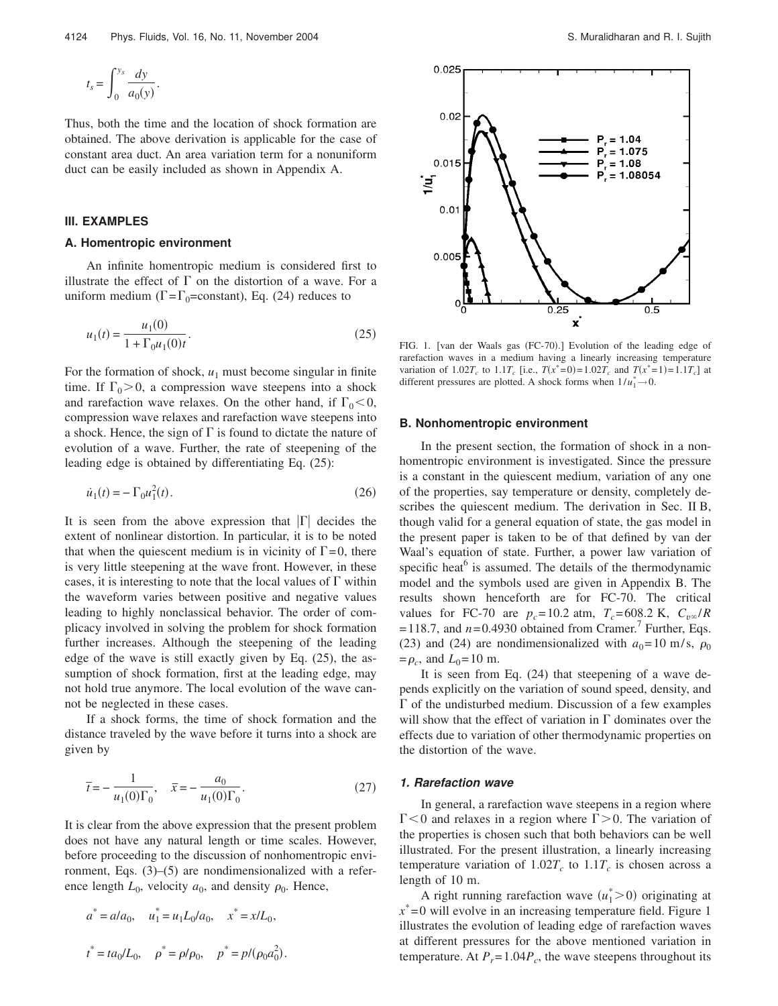$$
t_s = \int_0^{y_s} \frac{dy}{a_0(y)}.
$$

Thus, both the time and the location of shock formation are obtained. The above derivation is applicable for the case of constant area duct. An area variation term for a nonuniform duct can be easily included as shown in Appendix A.

#### **III. EXAMPLES**

### **A. Homentropic environment**

An infinite homentropic medium is considered first to illustrate the effect of  $\Gamma$  on the distortion of a wave. For a uniform medium ( $\Gamma = \Gamma_0 = constant$ ), Eq. (24) reduces to

$$
u_1(t) = \frac{u_1(0)}{1 + \Gamma_0 u_1(0)t}.
$$
\n(25)

For the formation of shock,  $u_1$  must become singular in finite time. If  $\Gamma_0 > 0$ , a compression wave steepens into a shock and rarefaction wave relaxes. On the other hand, if  $\Gamma_0 < 0$ , compression wave relaxes and rarefaction wave steepens into a shock. Hence, the sign of  $\Gamma$  is found to dictate the nature of evolution of a wave. Further, the rate of steepening of the leading edge is obtained by differentiating Eq. (25):

$$
\dot{u}_1(t) = -\Gamma_0 u_1^2(t). \tag{26}
$$

It is seen from the above expression that  $|\Gamma|$  decides the extent of nonlinear distortion. In particular, it is to be noted that when the quiescent medium is in vicinity of  $\Gamma = 0$ , there is very little steepening at the wave front. However, in these cases, it is interesting to note that the local values of  $\Gamma$  within the waveform varies between positive and negative values leading to highly nonclassical behavior. The order of complicacy involved in solving the problem for shock formation further increases. Although the steepening of the leading edge of the wave is still exactly given by Eq. (25), the assumption of shock formation, first at the leading edge, may not hold true anymore. The local evolution of the wave cannot be neglected in these cases.

If a shock forms, the time of shock formation and the distance traveled by the wave before it turns into a shock are given by

$$
\overline{t} = -\frac{1}{u_1(0)\Gamma_0}, \quad \overline{x} = -\frac{a_0}{u_1(0)\Gamma_0}.
$$
 (27)

It is clear from the above expression that the present problem does not have any natural length or time scales. However, before proceeding to the discussion of nonhomentropic environment, Eqs. (3)–(5) are nondimensionalized with a reference length  $L_0$ , velocity  $a_0$ , and density  $\rho_0$ . Hence,

$$
a^* = a/a_0
$$
,  $u_1^* = u_1L_0/a_0$ ,  $x^* = x/L_0$ ,  
 $t^* = ta_0/L_0$ ,  $\rho^* = \rho/\rho_0$ ,  $p^* = p/(\rho_0 a_0^2)$ .



FIG. 1. [van der Waals gas (FC-70).] Evolution of the leading edge of rarefaction waves in a medium having a linearly increasing temperature variation of 1.02 $T_c$  to 1.1 $T_c$  [i.e.,  $T(x^* = 0) = 1.02T_c$  and  $T(x^* = 1) = 1.1T_c$ ] at different pressures are plotted. A shock forms when  $1/u_1^* \rightarrow 0$ .

#### **B. Nonhomentropic environment**

In the present section, the formation of shock in a nonhomentropic environment is investigated. Since the pressure is a constant in the quiescent medium, variation of any one of the properties, say temperature or density, completely describes the quiescent medium. The derivation in Sec. II B, though valid for a general equation of state, the gas model in the present paper is taken to be of that defined by van der Waal's equation of state. Further, a power law variation of specific heat<sup>6</sup> is assumed. The details of the thermodynamic model and the symbols used are given in Appendix B. The results shown henceforth are for FC-70. The critical values for FC-70 are  $p_c = 10.2$  atm,  $T_c = 608.2$  K,  $C_{v\infty}/R$  $=$  118.7, and  $n = 0.4930$  obtained from Cramer.<sup>7</sup> Further, Eqs. (23) and (24) are nondimensionalized with  $a_0 = 10$  m/s,  $\rho_0$  $= \rho_c$ , and  $L_0 = 10$  m.

It is seen from Eq. (24) that steepening of a wave depends explicitly on the variation of sound speed, density, and  $\Gamma$  of the undisturbed medium. Discussion of a few examples will show that the effect of variation in  $\Gamma$  dominates over the effects due to variation of other thermodynamic properties on the distortion of the wave.

## **1. Rarefaction wave**

In general, a rarefaction wave steepens in a region where  $\Gamma$  < 0 and relaxes in a region where  $\Gamma$  > 0. The variation of the properties is chosen such that both behaviors can be well illustrated. For the present illustration, a linearly increasing temperature variation of  $1.02T_c$  to  $1.1T_c$  is chosen across a length of 10 m.

A right running rarefaction wave  $(u_1^* > 0)$  originating at *x* \*=0 will evolve in an increasing temperature field. Figure 1 illustrates the evolution of leading edge of rarefaction waves at different pressures for the above mentioned variation in temperature. At  $P_r = 1.04 P_c$ , the wave steepens throughout its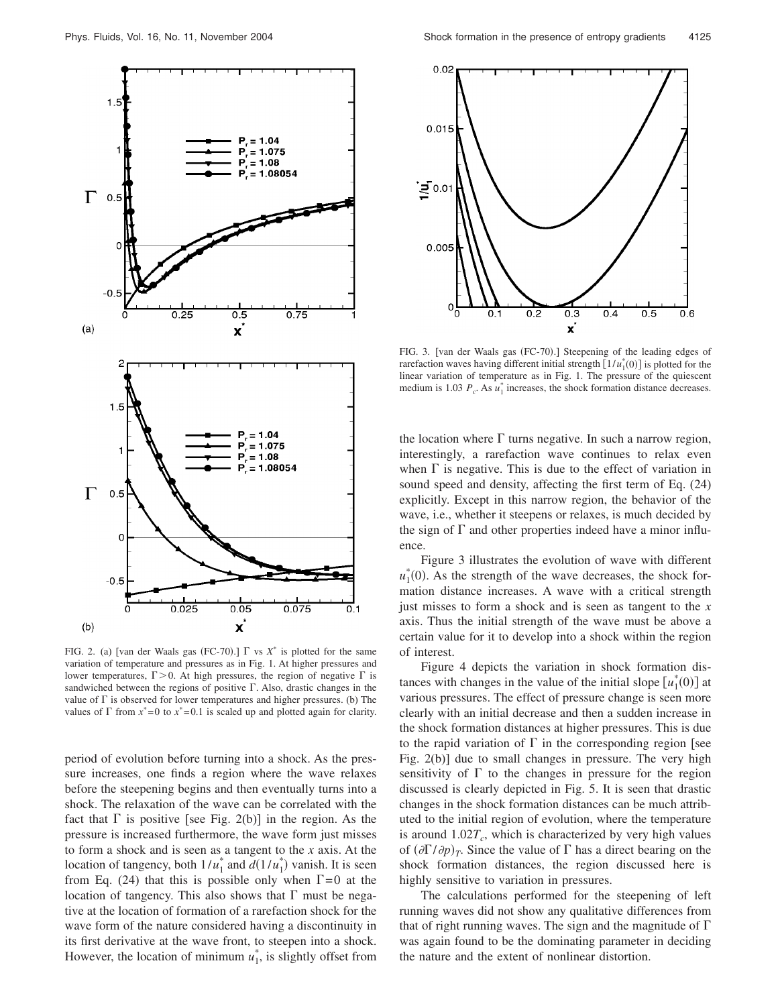

FIG. 2. (a) [van der Waals gas (FC-70).]  $\Gamma$  vs  $X^*$  is plotted for the same variation of temperature and pressures as in Fig. 1. At higher pressures and lower temperatures,  $\Gamma > 0$ . At high pressures, the region of negative  $\Gamma$  is sandwiched between the regions of positive  $\Gamma$ . Also, drastic changes in the value of  $\Gamma$  is observed for lower temperatures and higher pressures. (b) The values of  $\Gamma$  from  $x^* = 0$  to  $x^* = 0.1$  is scaled up and plotted again for clarity.

period of evolution before turning into a shock. As the pressure increases, one finds a region where the wave relaxes before the steepening begins and then eventually turns into a shock. The relaxation of the wave can be correlated with the fact that  $\Gamma$  is positive [see Fig. 2(b)] in the region. As the pressure is increased furthermore, the wave form just misses to form a shock and is seen as a tangent to the *x* axis. At the location of tangency, both  $1/u_1^*$  and  $d(1/u_1^*)$  vanish. It is seen from Eq. (24) that this is possible only when  $\Gamma=0$  at the location of tangency. This also shows that  $\Gamma$  must be negative at the location of formation of a rarefaction shock for the wave form of the nature considered having a discontinuity in its first derivative at the wave front, to steepen into a shock. However, the location of minimum  $u_1^*$ , is slightly offset from



FIG. 3. [van der Waals gas (FC-70).] Steepening of the leading edges of rarefaction waves having different initial strength  $[1/u_1^*(0)]$  is plotted for the linear variation of temperature as in Fig. 1. The pressure of the quiescent medium is 1.03  $P_c$ . As  $u_1^*$  increases, the shock formation distance decreases.

the location where  $\Gamma$  turns negative. In such a narrow region, interestingly, a rarefaction wave continues to relax even when  $\Gamma$  is negative. This is due to the effect of variation in sound speed and density, affecting the first term of Eq. (24) explicitly. Except in this narrow region, the behavior of the wave, i.e., whether it steepens or relaxes, is much decided by the sign of  $\Gamma$  and other properties indeed have a minor influence.

Figure 3 illustrates the evolution of wave with different  $u_1^*(0)$ . As the strength of the wave decreases, the shock formation distance increases. A wave with a critical strength just misses to form a shock and is seen as tangent to the *x* axis. Thus the initial strength of the wave must be above a certain value for it to develop into a shock within the region of interest.

Figure 4 depicts the variation in shock formation distances with changes in the value of the initial slope  $\left[ u_1^*(0) \right]$  at various pressures. The effect of pressure change is seen more clearly with an initial decrease and then a sudden increase in the shock formation distances at higher pressures. This is due to the rapid variation of  $\Gamma$  in the corresponding region [see Fig. 2(b)] due to small changes in pressure. The very high sensitivity of  $\Gamma$  to the changes in pressure for the region discussed is clearly depicted in Fig. 5. It is seen that drastic changes in the shock formation distances can be much attributed to the initial region of evolution, where the temperature is around 1.02*T<sup>c</sup>* , which is characterized by very high values of  $(\partial \Gamma / \partial p)_T$ . Since the value of  $\Gamma$  has a direct bearing on the shock formation distances, the region discussed here is highly sensitive to variation in pressures.

The calculations performed for the steepening of left running waves did not show any qualitative differences from that of right running waves. The sign and the magnitude of  $\Gamma$ was again found to be the dominating parameter in deciding the nature and the extent of nonlinear distortion.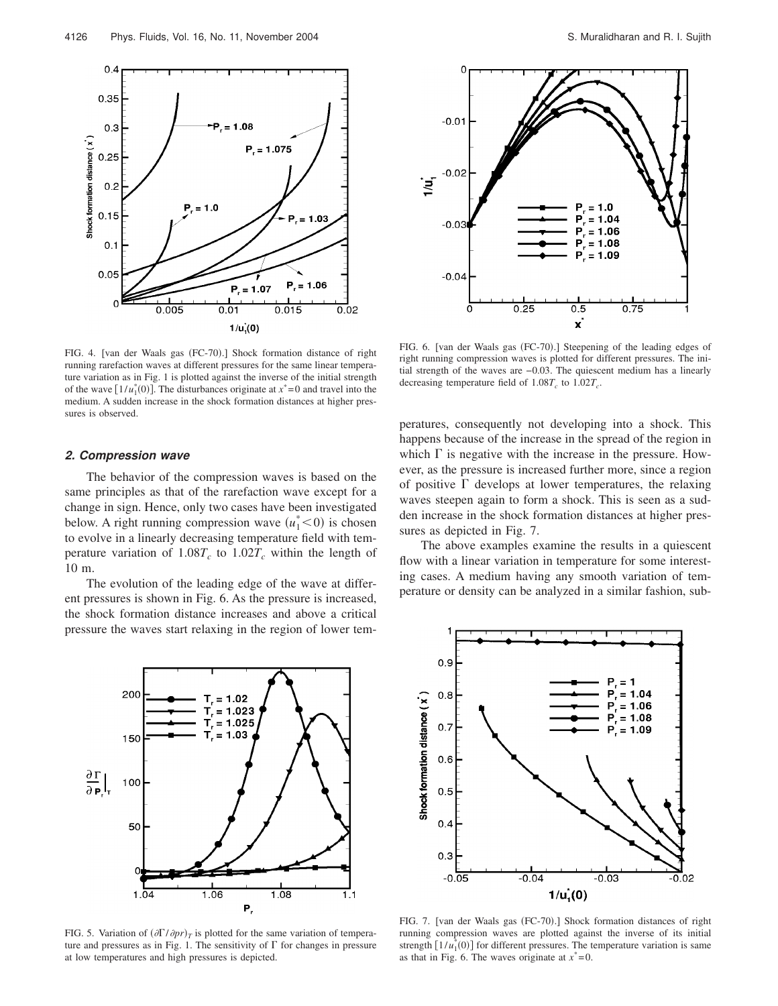

FIG. 4. [van der Waals gas (FC-70).] Shock formation distance of right running rarefaction waves at different pressures for the same linear temperature variation as in Fig. 1 is plotted against the inverse of the initial strength of the wave  $[1/u_1^*(0)]$ . The disturbances originate at  $x^* = 0$  and travel into the medium. A sudden increase in the shock formation distances at higher pressures is observed.

#### **2. Compression wave**

The behavior of the compression waves is based on the same principles as that of the rarefaction wave except for a change in sign. Hence, only two cases have been investigated below. A right running compression wave  $(u_1^*<0)$  is chosen to evolve in a linearly decreasing temperature field with temperature variation of  $1.08T_c$  to  $1.02T_c$  within the length of 10 m.

The evolution of the leading edge of the wave at different pressures is shown in Fig. 6. As the pressure is increased, the shock formation distance increases and above a critical pressure the waves start relaxing in the region of lower tem-



FIG. 5. Variation of  $(\partial \Gamma / \partial pr)_T$  is plotted for the same variation of temperature and pressures as in Fig. 1. The sensitivity of  $\Gamma$  for changes in pressure at low temperatures and high pressures is depicted.



FIG. 6. [van der Waals gas (FC-70).] Steepening of the leading edges of right running compression waves is plotted for different pressures. The initial strength of the waves are −0.03. The quiescent medium has a linearly decreasing temperature field of 1.08*T<sup>c</sup>* to 1.02*T<sup>c</sup>* .

peratures, consequently not developing into a shock. This happens because of the increase in the spread of the region in which  $\Gamma$  is negative with the increase in the pressure. However, as the pressure is increased further more, since a region of positive  $\Gamma$  develops at lower temperatures, the relaxing waves steepen again to form a shock. This is seen as a sudden increase in the shock formation distances at higher pressures as depicted in Fig. 7.

The above examples examine the results in a quiescent flow with a linear variation in temperature for some interesting cases. A medium having any smooth variation of temperature or density can be analyzed in a similar fashion, sub-



FIG. 7. [van der Waals gas (FC-70).] Shock formation distances of right running compression waves are plotted against the inverse of its initial strength  $[1/u_1^*(0)]$  for different pressures. The temperature variation is same as that in Fig. 6. The waves originate at  $x^* = 0$ .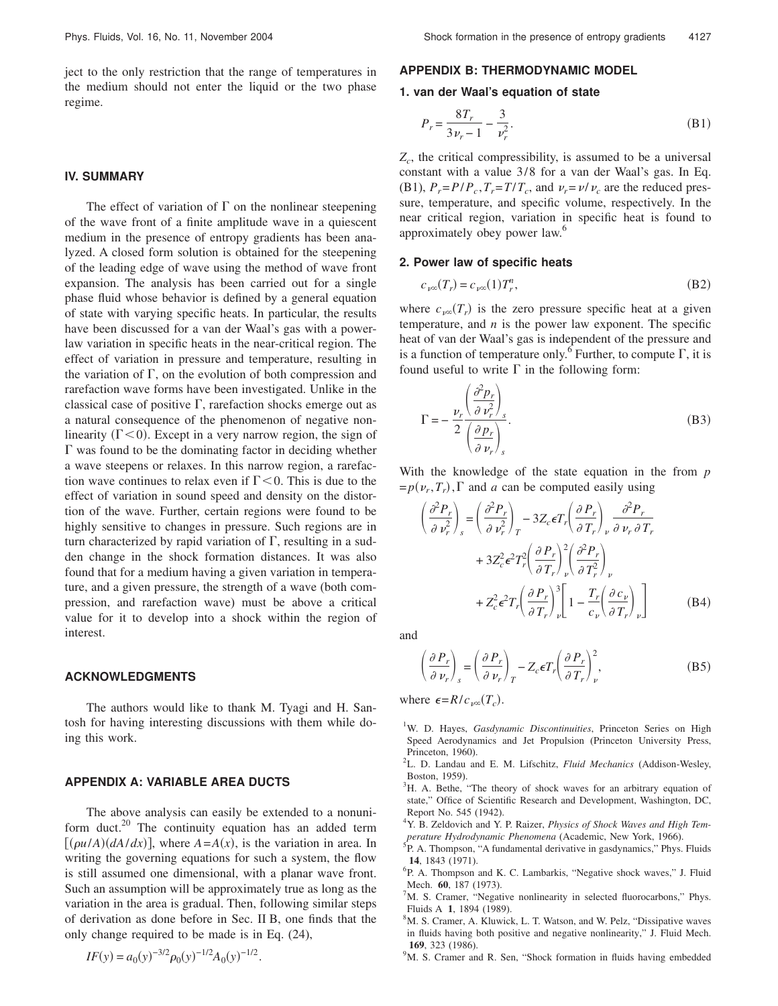ject to the only restriction that the range of temperatures in the medium should not enter the liquid or the two phase regime.

#### **IV. SUMMARY**

The effect of variation of  $\Gamma$  on the nonlinear steepening of the wave front of a finite amplitude wave in a quiescent medium in the presence of entropy gradients has been analyzed. A closed form solution is obtained for the steepening of the leading edge of wave using the method of wave front expansion. The analysis has been carried out for a single phase fluid whose behavior is defined by a general equation of state with varying specific heats. In particular, the results have been discussed for a van der Waal's gas with a powerlaw variation in specific heats in the near-critical region. The effect of variation in pressure and temperature, resulting in the variation of  $\Gamma$ , on the evolution of both compression and rarefaction wave forms have been investigated. Unlike in the classical case of positive  $\Gamma$ , rarefaction shocks emerge out as a natural consequence of the phenomenon of negative nonlinearity  $(\Gamma < 0)$ . Except in a very narrow region, the sign of  $\Gamma$  was found to be the dominating factor in deciding whether a wave steepens or relaxes. In this narrow region, a rarefaction wave continues to relax even if  $\Gamma$  < 0. This is due to the effect of variation in sound speed and density on the distortion of the wave. Further, certain regions were found to be highly sensitive to changes in pressure. Such regions are in turn characterized by rapid variation of  $\Gamma$ , resulting in a sudden change in the shock formation distances. It was also found that for a medium having a given variation in temperature, and a given pressure, the strength of a wave (both compression, and rarefaction wave) must be above a critical value for it to develop into a shock within the region of interest.

## **ACKNOWLEDGMENTS**

The authors would like to thank M. Tyagi and H. Santosh for having interesting discussions with them while doing this work.

# **APPENDIX A: VARIABLE AREA DUCTS**

The above analysis can easily be extended to a nonuniform duct.<sup>20</sup> The continuity equation has an added term  $[(\rho u/A)(dA/dx)]$ , where  $A = A(x)$ , is the variation in area. In writing the governing equations for such a system, the flow is still assumed one dimensional, with a planar wave front. Such an assumption will be approximately true as long as the variation in the area is gradual. Then, following similar steps of derivation as done before in Sec. II B, one finds that the only change required to be made is in Eq. (24),

$$
IF(y) = a_0(y)^{-3/2} \rho_0(y)^{-1/2} A_0(y)^{-1/2}.
$$

# **APPENDIX B: THERMODYNAMIC MODEL**

## **1. van der Waal's equation of state**

$$
P_r = \frac{8T_r}{3\nu_r - 1} - \frac{3}{\nu_r^2}.
$$
 (B1)

*Zc* , the critical compressibility, is assumed to be a universal constant with a value 3/8 for a van der Waal's gas. In Eq. (B1),  $P_r = P/P_c$ ,  $T_r = T/T_c$ , and  $v_r = v/v_c$  are the reduced pressure, temperature, and specific volume, respectively. In the near critical region, variation in specific heat is found to approximately obey power law.<sup>6</sup>

#### **2. Power law of specific heats**

$$
c_{\nu\infty}(T_r) = c_{\nu\infty}(1)T_r^n,\tag{B2}
$$

where  $c_{\nu\infty}(T_r)$  is the zero pressure specific heat at a given temperature, and *n* is the power law exponent. The specific heat of van der Waal's gas is independent of the pressure and is a function of temperature only. Further, to compute  $\Gamma$ , it is found useful to write  $\Gamma$  in the following form:

$$
\Gamma = -\frac{\nu_r}{2} \frac{\left(\frac{\partial^2 p_r}{\partial \nu_r^2}\right)_s}{\left(\frac{\partial p_r}{\partial \nu_r}\right)_s}.
$$
\n(B3)

With the knowledge of the state equation in the from *p*  $=p(\nu_r, T_r)$ ,  $\Gamma$  and *a* can be computed easily using

$$
\left(\frac{\partial^2 P_r}{\partial \nu_r^2}\right)_s = \left(\frac{\partial^2 P_r}{\partial \nu_r^2}\right)_T - 3Z_c \epsilon T_r \left(\frac{\partial P_r}{\partial T_r}\right)_\nu \frac{\partial^2 P_r}{\partial \nu_r \partial T_r} \n+ 3Z_c^2 \epsilon^2 T_r^2 \left(\frac{\partial P_r}{\partial T_r}\right)_\nu^2 \left(\frac{\partial^2 P_r}{\partial T_r^2}\right)_\nu \n+ Z_c^2 \epsilon^2 T_r \left(\frac{\partial P_r}{\partial T_r}\right)_\nu^3 \left[1 - \frac{T_r}{c_\nu} \left(\frac{\partial c_\nu}{\partial T_r}\right)_\nu\right]
$$
\n(B4)

and

$$
\left(\frac{\partial P_r}{\partial v_r}\right)_s = \left(\frac{\partial P_r}{\partial v_r}\right)_T - Z_c \epsilon T_r \left(\frac{\partial P_r}{\partial T_r}\right)_\nu^2,
$$
\n(B5)

where  $\epsilon = R/c_{\nu\infty}(T_c)$ .

- <sup>1</sup>W. D. Hayes, *Gasdynamic Discontinuities*, Princeton Series on High Speed Aerodynamics and Jet Propulsion (Princeton University Press, Princeton, 1960).
- 2 L. D. Landau and E. M. Lifschitz, *Fluid Mechanics* (Addison-Wesley, Boston, 1959).
- <sup>3</sup>H. A. Bethe, "The theory of shock waves for an arbitrary equation of state," Office of Scientific Research and Development, Washington, DC, Report No. 545 (1942).
- <sup>4</sup>Y. B. Zeldovich and Y. P. Raizer, *Physics of Shock Waves and High Temperature Hydrodynamic Phenomena* (Academic, New York, 1966).
- <sup>5</sup>P. A. Thompson, "A fundamental derivative in gasdynamics," Phys. Fluids **14**, 1843 (1971).
- 6 P. A. Thompson and K. C. Lambarkis, "Negative shock waves," J. Fluid Mech. **60**, 187 (1973).
- ${}^{7}$ M. S. Cramer, "Negative nonlinearity in selected fluorocarbons," Phys. Fluids A **1**, 1894 (1989).
- <sup>8</sup>M. S. Cramer, A. Kluwick, L. T. Watson, and W. Pelz, "Dissipative waves in fluids having both positive and negative nonlinearity," J. Fluid Mech. **169**, 323 (1986).
- <sup>9</sup>M. S. Cramer and R. Sen, "Shock formation in fluids having embedded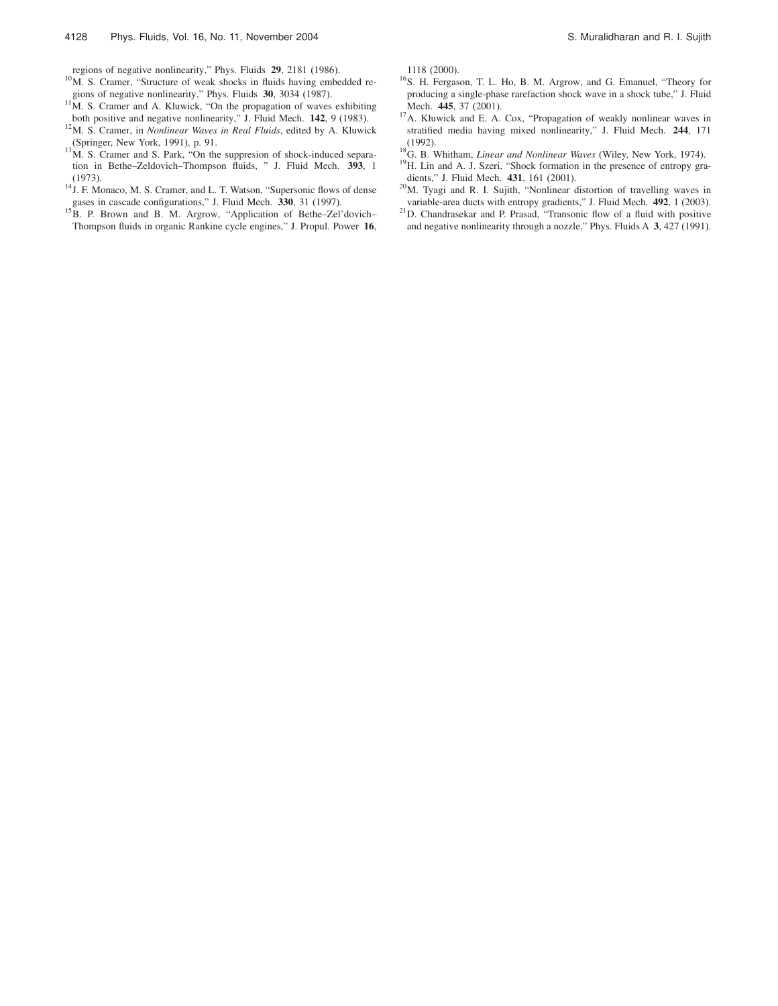regions of negative nonlinearity," Phys. Fluids **29**, 2181 (1986).

- <sup>10</sup>M. S. Cramer, "Structure of weak shocks in fluids having embedded regions of negative nonlinearity," Phys. Fluids **30**, 3034 (1987).
- <sup>11</sup>M. S. Cramer and A. Kluwick, "On the propagation of waves exhibiting both positive and negative nonlinearity," J. Fluid Mech. **142**, 9 (1983).
- <sup>12</sup>M. S. Cramer, in *Nonlinear Waves in Real Fluids*, edited by A. Kluwick (Springer, New York, 1991), p. 91.
- $13$ M. S. Cramer and S. Park, "On the suppresion of shock-induced separation in Bethe–Zeldovich–Thompson fluids, " J. Fluid Mech. **393**, 1 (1973).
- <sup>14</sup>J. F. Monaco, M. S. Cramer, and L. T. Watson, "Supersonic flows of dense gases in cascade configurations," J. Fluid Mech. **330**, 31 (1997).
- <sup>15</sup>B. P. Brown and B. M. Argrow, "Application of Bethe–Zel'dovich– Thompson fluids in organic Rankine cycle engines," J. Propul. Power **16**,

1118 (2000).

- <sup>16</sup>S. H. Fergason, T. L. Ho, B. M. Argrow, and G. Emanuel, "Theory for producing a single-phase rarefaction shock wave in a shock tube," J. Fluid Mech. **445**, 37 (2001).
- <sup>17</sup>A. Kluwick and E. A. Cox, "Propagation of weakly nonlinear waves in stratified media having mixed nonlinearity," J. Fluid Mech. **244**, 171 (1992).
- <sup>18</sup>G. B. Whitham, *Linear and Nonlinear Waves* (Wiley, New York, 1974).
- <sup>19</sup>H. Lin and A. J. Szeri, "Shock formation in the presence of entropy gradients," J. Fluid Mech. **431**, 161 (2001).
- <sup>20</sup>M. Tyagi and R. I. Sujith, "Nonlinear distortion of travelling waves in variable-area ducts with entropy gradients," J. Fluid Mech. **492**, 1 (2003).
- <sup>21</sup>D. Chandrasekar and P. Prasad, "Transonic flow of a fluid with positive and negative nonlinearity through a nozzle," Phys. Fluids A **3**, 427 (1991).